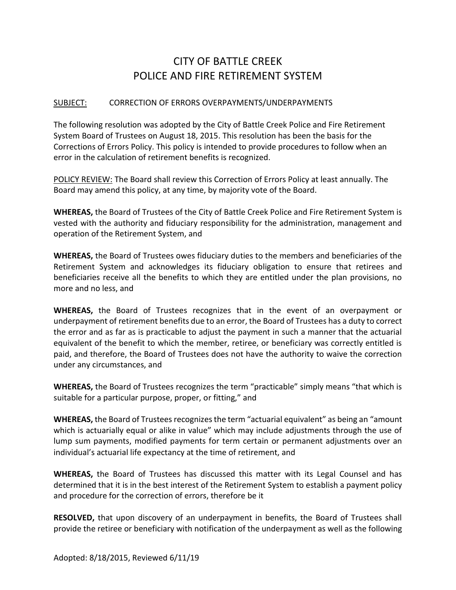## CITY OF BATTLE CREEK POLICE AND FIRE RETIREMENT SYSTEM

## SUBJECT: CORRECTION OF ERRORS OVERPAYMENTS/UNDERPAYMENTS

The following resolution was adopted by the City of Battle Creek Police and Fire Retirement System Board of Trustees on August 18, 2015. This resolution has been the basis for the Corrections of Errors Policy. This policy is intended to provide procedures to follow when an error in the calculation of retirement benefits is recognized.

POLICY REVIEW: The Board shall review this Correction of Errors Policy at least annually. The Board may amend this policy, at any time, by majority vote of the Board.

**WHEREAS,** the Board of Trustees of the City of Battle Creek Police and Fire Retirement System is vested with the authority and fiduciary responsibility for the administration, management and operation of the Retirement System, and

**WHEREAS,** the Board of Trustees owes fiduciary duties to the members and beneficiaries of the Retirement System and acknowledges its fiduciary obligation to ensure that retirees and beneficiaries receive all the benefits to which they are entitled under the plan provisions, no more and no less, and

**WHEREAS,** the Board of Trustees recognizes that in the event of an overpayment or underpayment of retirement benefits due to an error, the Board of Trustees has a duty to correct the error and as far as is practicable to adjust the payment in such a manner that the actuarial equivalent of the benefit to which the member, retiree, or beneficiary was correctly entitled is paid, and therefore, the Board of Trustees does not have the authority to waive the correction under any circumstances, and

**WHEREAS,** the Board of Trustees recognizes the term "practicable" simply means "that which is suitable for a particular purpose, proper, or fitting," and

**WHEREAS,** the Board of Trustees recognizes the term "actuarial equivalent" as being an "amount which is actuarially equal or alike in value" which may include adjustments through the use of lump sum payments, modified payments for term certain or permanent adjustments over an individual's actuarial life expectancy at the time of retirement, and

**WHEREAS,** the Board of Trustees has discussed this matter with its Legal Counsel and has determined that it is in the best interest of the Retirement System to establish a payment policy and procedure for the correction of errors, therefore be it

**RESOLVED,** that upon discovery of an underpayment in benefits, the Board of Trustees shall provide the retiree or beneficiary with notification of the underpayment as well as the following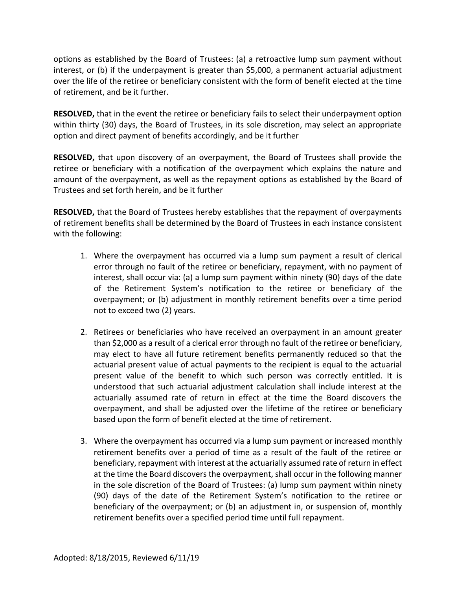options as established by the Board of Trustees: (a) a retroactive lump sum payment without interest, or (b) if the underpayment is greater than \$5,000, a permanent actuarial adjustment over the life of the retiree or beneficiary consistent with the form of benefit elected at the time of retirement, and be it further.

**RESOLVED,** that in the event the retiree or beneficiary fails to select their underpayment option within thirty (30) days, the Board of Trustees, in its sole discretion, may select an appropriate option and direct payment of benefits accordingly, and be it further

**RESOLVED,** that upon discovery of an overpayment, the Board of Trustees shall provide the retiree or beneficiary with a notification of the overpayment which explains the nature and amount of the overpayment, as well as the repayment options as established by the Board of Trustees and set forth herein, and be it further

**RESOLVED,** that the Board of Trustees hereby establishes that the repayment of overpayments of retirement benefits shall be determined by the Board of Trustees in each instance consistent with the following:

- 1. Where the overpayment has occurred via a lump sum payment a result of clerical error through no fault of the retiree or beneficiary, repayment, with no payment of interest, shall occur via: (a) a lump sum payment within ninety (90) days of the date of the Retirement System's notification to the retiree or beneficiary of the overpayment; or (b) adjustment in monthly retirement benefits over a time period not to exceed two (2) years.
- 2. Retirees or beneficiaries who have received an overpayment in an amount greater than \$2,000 as a result of a clerical error through no fault of the retiree or beneficiary, may elect to have all future retirement benefits permanently reduced so that the actuarial present value of actual payments to the recipient is equal to the actuarial present value of the benefit to which such person was correctly entitled. It is understood that such actuarial adjustment calculation shall include interest at the actuarially assumed rate of return in effect at the time the Board discovers the overpayment, and shall be adjusted over the lifetime of the retiree or beneficiary based upon the form of benefit elected at the time of retirement.
- 3. Where the overpayment has occurred via a lump sum payment or increased monthly retirement benefits over a period of time as a result of the fault of the retiree or beneficiary, repayment with interest at the actuarially assumed rate of return in effect at the time the Board discovers the overpayment, shall occur in the following manner in the sole discretion of the Board of Trustees: (a) lump sum payment within ninety (90) days of the date of the Retirement System's notification to the retiree or beneficiary of the overpayment; or (b) an adjustment in, or suspension of, monthly retirement benefits over a specified period time until full repayment.